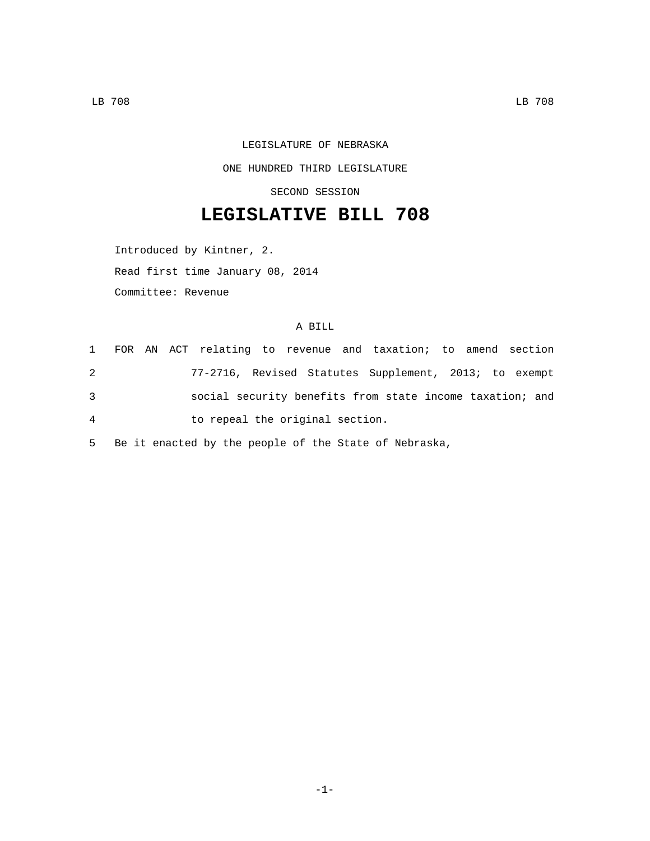LEGISLATURE OF NEBRASKA ONE HUNDRED THIRD LEGISLATURE SECOND SESSION

## **LEGISLATIVE BILL 708**

Introduced by Kintner, 2.

Read first time January 08, 2014

Committee: Revenue

## A BILL

|                |  | 1 FOR AN ACT relating to revenue and taxation; to amend section |  |  |  |  |
|----------------|--|-----------------------------------------------------------------|--|--|--|--|
| 2              |  | 77-2716, Revised Statutes Supplement, 2013; to exempt           |  |  |  |  |
| 3              |  | social security benefits from state income taxation; and        |  |  |  |  |
| $\overline{4}$ |  | to repeal the original section.                                 |  |  |  |  |

5 Be it enacted by the people of the State of Nebraska,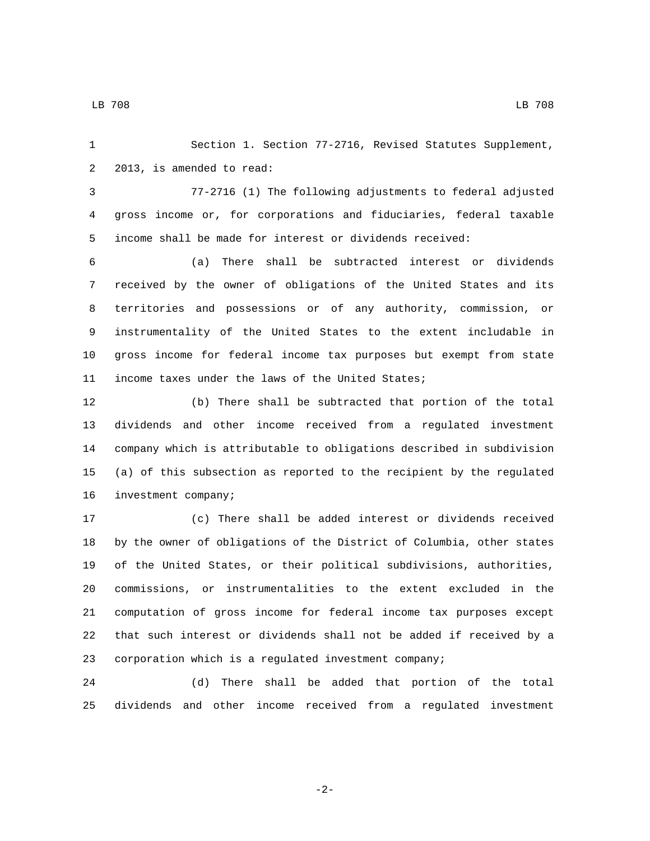Section 1. Section 77-2716, Revised Statutes Supplement, 2 2013, is amended to read:

 77-2716 (1) The following adjustments to federal adjusted gross income or, for corporations and fiduciaries, federal taxable income shall be made for interest or dividends received:

 (a) There shall be subtracted interest or dividends received by the owner of obligations of the United States and its territories and possessions or of any authority, commission, or instrumentality of the United States to the extent includable in gross income for federal income tax purposes but exempt from state 11 income taxes under the laws of the United States;

 (b) There shall be subtracted that portion of the total dividends and other income received from a regulated investment company which is attributable to obligations described in subdivision (a) of this subsection as reported to the recipient by the regulated 16 investment company;

 (c) There shall be added interest or dividends received by the owner of obligations of the District of Columbia, other states of the United States, or their political subdivisions, authorities, commissions, or instrumentalities to the extent excluded in the computation of gross income for federal income tax purposes except that such interest or dividends shall not be added if received by a corporation which is a regulated investment company;

 (d) There shall be added that portion of the total dividends and other income received from a regulated investment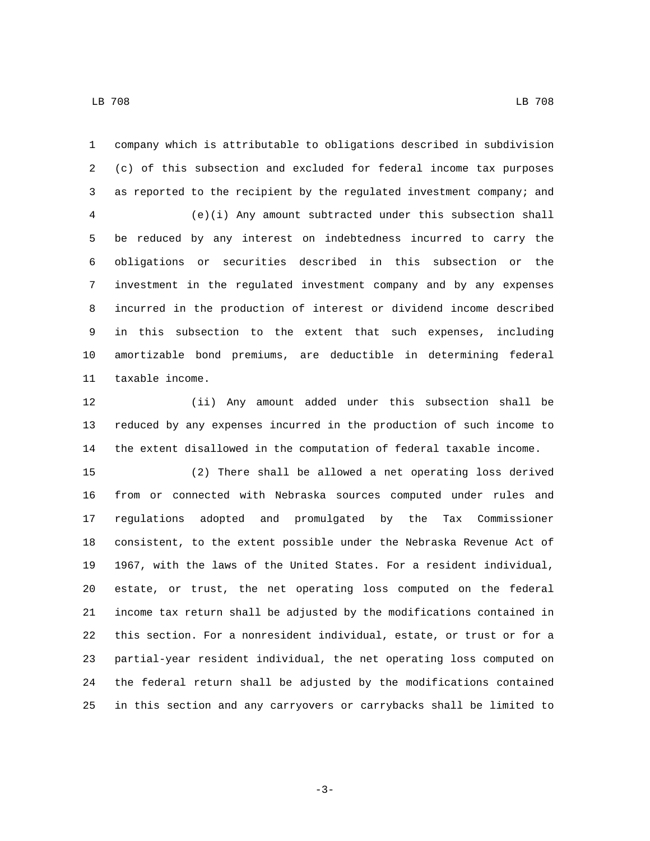company which is attributable to obligations described in subdivision (c) of this subsection and excluded for federal income tax purposes as reported to the recipient by the regulated investment company; and (e)(i) Any amount subtracted under this subsection shall be reduced by any interest on indebtedness incurred to carry the obligations or securities described in this subsection or the investment in the regulated investment company and by any expenses incurred in the production of interest or dividend income described in this subsection to the extent that such expenses, including amortizable bond premiums, are deductible in determining federal 11 taxable income.

 (ii) Any amount added under this subsection shall be reduced by any expenses incurred in the production of such income to the extent disallowed in the computation of federal taxable income.

 (2) There shall be allowed a net operating loss derived from or connected with Nebraska sources computed under rules and regulations adopted and promulgated by the Tax Commissioner consistent, to the extent possible under the Nebraska Revenue Act of 1967, with the laws of the United States. For a resident individual, estate, or trust, the net operating loss computed on the federal income tax return shall be adjusted by the modifications contained in this section. For a nonresident individual, estate, or trust or for a partial-year resident individual, the net operating loss computed on the federal return shall be adjusted by the modifications contained in this section and any carryovers or carrybacks shall be limited to

-3-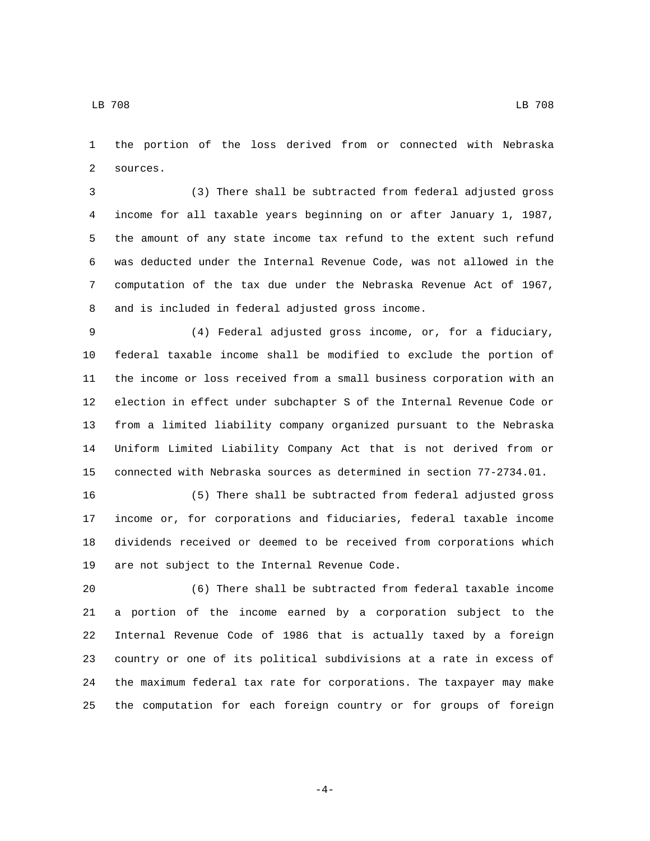the portion of the loss derived from or connected with Nebraska 2 sources.

 (3) There shall be subtracted from federal adjusted gross income for all taxable years beginning on or after January 1, 1987, the amount of any state income tax refund to the extent such refund was deducted under the Internal Revenue Code, was not allowed in the computation of the tax due under the Nebraska Revenue Act of 1967, 8 and is included in federal adjusted gross income.

 (4) Federal adjusted gross income, or, for a fiduciary, federal taxable income shall be modified to exclude the portion of the income or loss received from a small business corporation with an election in effect under subchapter S of the Internal Revenue Code or from a limited liability company organized pursuant to the Nebraska Uniform Limited Liability Company Act that is not derived from or connected with Nebraska sources as determined in section 77-2734.01.

 (5) There shall be subtracted from federal adjusted gross income or, for corporations and fiduciaries, federal taxable income dividends received or deemed to be received from corporations which 19 are not subject to the Internal Revenue Code.

 (6) There shall be subtracted from federal taxable income a portion of the income earned by a corporation subject to the Internal Revenue Code of 1986 that is actually taxed by a foreign country or one of its political subdivisions at a rate in excess of the maximum federal tax rate for corporations. The taxpayer may make the computation for each foreign country or for groups of foreign

-4-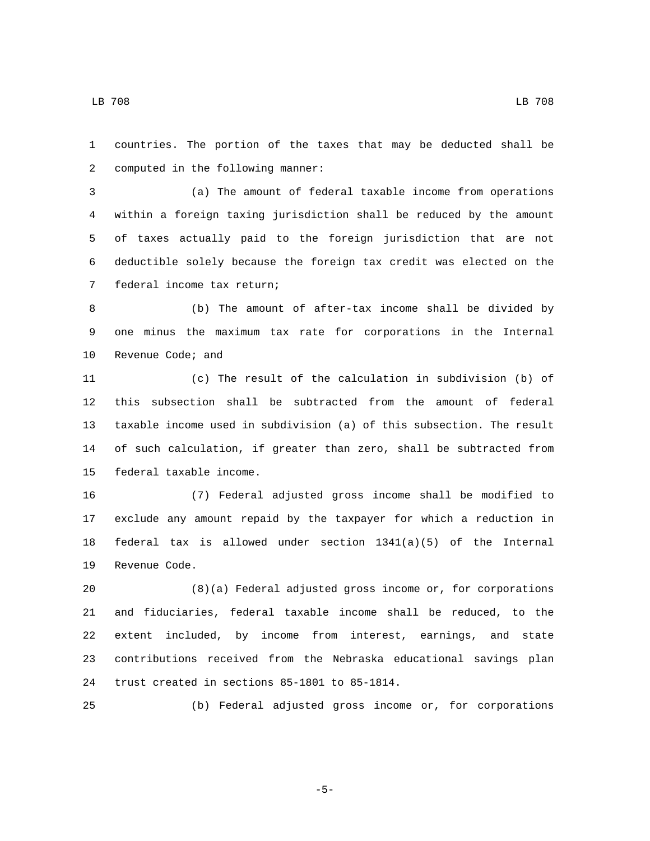countries. The portion of the taxes that may be deducted shall be 2 computed in the following manner:

 (a) The amount of federal taxable income from operations within a foreign taxing jurisdiction shall be reduced by the amount of taxes actually paid to the foreign jurisdiction that are not deductible solely because the foreign tax credit was elected on the 7 federal income tax return;

 (b) The amount of after-tax income shall be divided by one minus the maximum tax rate for corporations in the Internal 10 Revenue Code; and

 (c) The result of the calculation in subdivision (b) of this subsection shall be subtracted from the amount of federal taxable income used in subdivision (a) of this subsection. The result of such calculation, if greater than zero, shall be subtracted from 15 federal taxable income.

 (7) Federal adjusted gross income shall be modified to exclude any amount repaid by the taxpayer for which a reduction in federal tax is allowed under section 1341(a)(5) of the Internal 19 Revenue Code.

 (8)(a) Federal adjusted gross income or, for corporations and fiduciaries, federal taxable income shall be reduced, to the extent included, by income from interest, earnings, and state contributions received from the Nebraska educational savings plan 24 trust created in sections 85-1801 to 85-1814.

(b) Federal adjusted gross income or, for corporations

-5-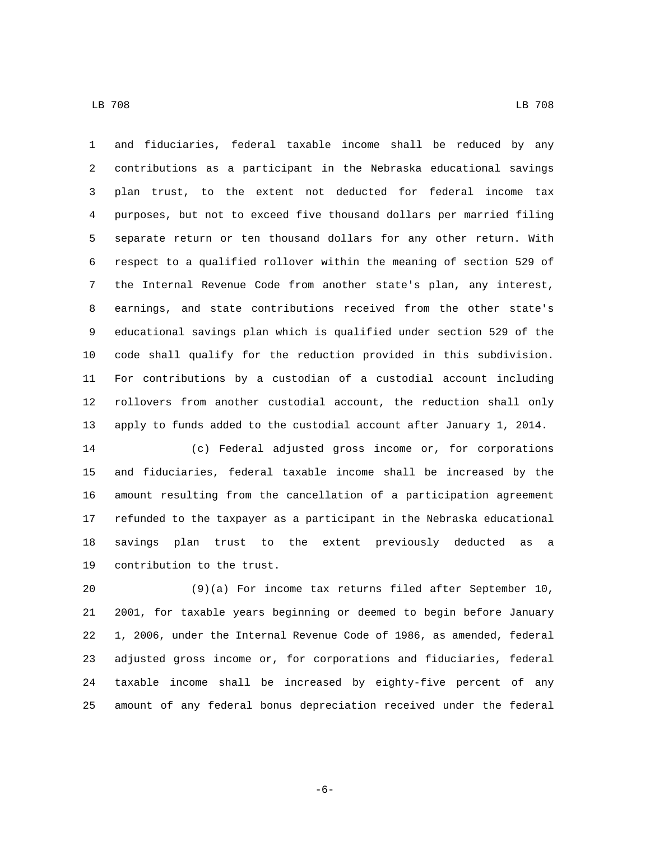and fiduciaries, federal taxable income shall be reduced by any contributions as a participant in the Nebraska educational savings plan trust, to the extent not deducted for federal income tax purposes, but not to exceed five thousand dollars per married filing separate return or ten thousand dollars for any other return. With respect to a qualified rollover within the meaning of section 529 of the Internal Revenue Code from another state's plan, any interest, earnings, and state contributions received from the other state's educational savings plan which is qualified under section 529 of the code shall qualify for the reduction provided in this subdivision. For contributions by a custodian of a custodial account including rollovers from another custodial account, the reduction shall only apply to funds added to the custodial account after January 1, 2014.

 (c) Federal adjusted gross income or, for corporations and fiduciaries, federal taxable income shall be increased by the amount resulting from the cancellation of a participation agreement refunded to the taxpayer as a participant in the Nebraska educational savings plan trust to the extent previously deducted as a 19 contribution to the trust.

 (9)(a) For income tax returns filed after September 10, 2001, for taxable years beginning or deemed to begin before January 1, 2006, under the Internal Revenue Code of 1986, as amended, federal adjusted gross income or, for corporations and fiduciaries, federal taxable income shall be increased by eighty-five percent of any amount of any federal bonus depreciation received under the federal

-6-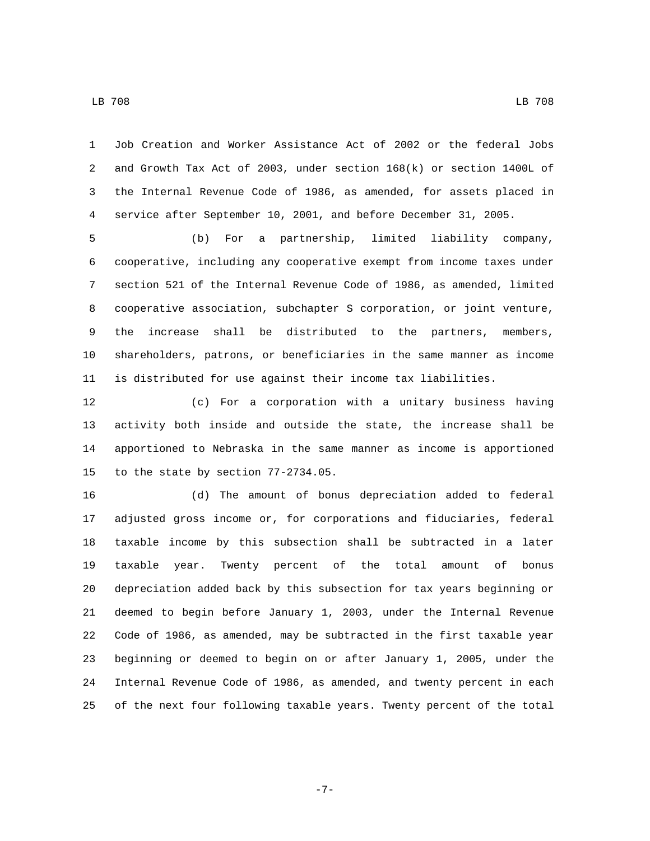Job Creation and Worker Assistance Act of 2002 or the federal Jobs and Growth Tax Act of 2003, under section 168(k) or section 1400L of the Internal Revenue Code of 1986, as amended, for assets placed in service after September 10, 2001, and before December 31, 2005.

 (b) For a partnership, limited liability company, cooperative, including any cooperative exempt from income taxes under section 521 of the Internal Revenue Code of 1986, as amended, limited cooperative association, subchapter S corporation, or joint venture, the increase shall be distributed to the partners, members, shareholders, patrons, or beneficiaries in the same manner as income is distributed for use against their income tax liabilities.

 (c) For a corporation with a unitary business having activity both inside and outside the state, the increase shall be apportioned to Nebraska in the same manner as income is apportioned 15 to the state by section 77-2734.05.

 (d) The amount of bonus depreciation added to federal adjusted gross income or, for corporations and fiduciaries, federal taxable income by this subsection shall be subtracted in a later taxable year. Twenty percent of the total amount of bonus depreciation added back by this subsection for tax years beginning or deemed to begin before January 1, 2003, under the Internal Revenue Code of 1986, as amended, may be subtracted in the first taxable year beginning or deemed to begin on or after January 1, 2005, under the Internal Revenue Code of 1986, as amended, and twenty percent in each of the next four following taxable years. Twenty percent of the total

-7-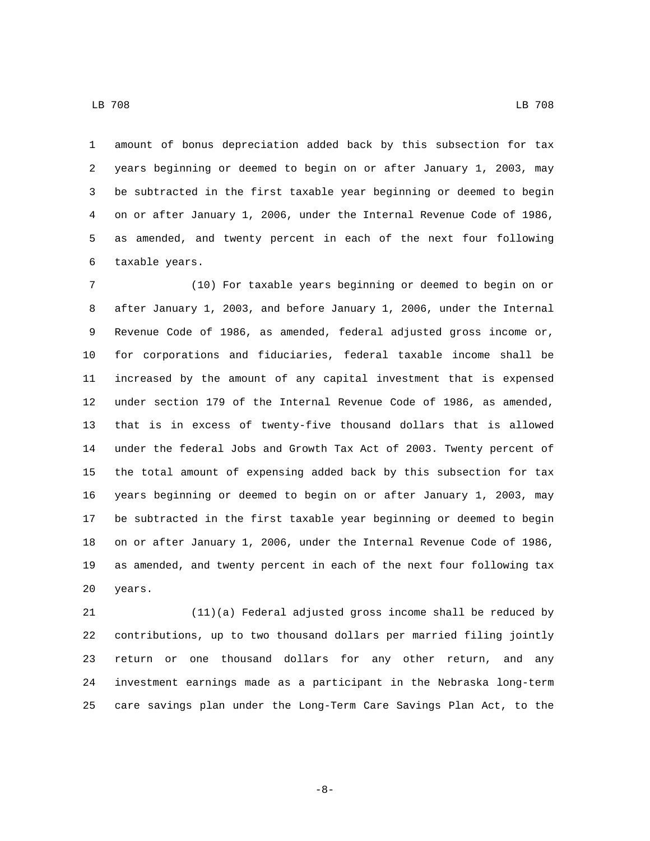amount of bonus depreciation added back by this subsection for tax years beginning or deemed to begin on or after January 1, 2003, may be subtracted in the first taxable year beginning or deemed to begin on or after January 1, 2006, under the Internal Revenue Code of 1986, as amended, and twenty percent in each of the next four following 6 taxable years.

 (10) For taxable years beginning or deemed to begin on or after January 1, 2003, and before January 1, 2006, under the Internal Revenue Code of 1986, as amended, federal adjusted gross income or, for corporations and fiduciaries, federal taxable income shall be increased by the amount of any capital investment that is expensed under section 179 of the Internal Revenue Code of 1986, as amended, that is in excess of twenty-five thousand dollars that is allowed under the federal Jobs and Growth Tax Act of 2003. Twenty percent of the total amount of expensing added back by this subsection for tax years beginning or deemed to begin on or after January 1, 2003, may be subtracted in the first taxable year beginning or deemed to begin on or after January 1, 2006, under the Internal Revenue Code of 1986, as amended, and twenty percent in each of the next four following tax 20 years.

 (11)(a) Federal adjusted gross income shall be reduced by contributions, up to two thousand dollars per married filing jointly return or one thousand dollars for any other return, and any investment earnings made as a participant in the Nebraska long-term care savings plan under the Long-Term Care Savings Plan Act, to the

-8-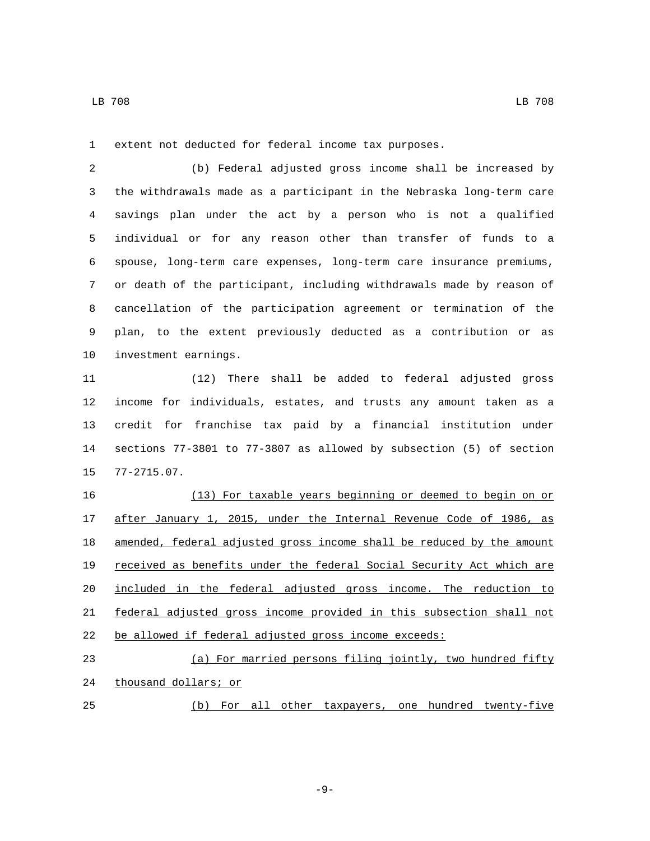extent not deducted for federal income tax purposes.

 (b) Federal adjusted gross income shall be increased by the withdrawals made as a participant in the Nebraska long-term care savings plan under the act by a person who is not a qualified individual or for any reason other than transfer of funds to a spouse, long-term care expenses, long-term care insurance premiums, or death of the participant, including withdrawals made by reason of cancellation of the participation agreement or termination of the plan, to the extent previously deducted as a contribution or as 10 investment earnings.

 (12) There shall be added to federal adjusted gross income for individuals, estates, and trusts any amount taken as a credit for franchise tax paid by a financial institution under sections 77-3801 to 77-3807 as allowed by subsection (5) of section 15 77-2715.07.

 (13) For taxable years beginning or deemed to begin on or after January 1, 2015, under the Internal Revenue Code of 1986, as amended, federal adjusted gross income shall be reduced by the amount received as benefits under the federal Social Security Act which are included in the federal adjusted gross income. The reduction to federal adjusted gross income provided in this subsection shall not be allowed if federal adjusted gross income exceeds:

```
23 (a) For married persons filing jointly, two hundred fifty
24 thousand dollars; or
25 (b) For all other taxpayers, one hundred twenty-five
```